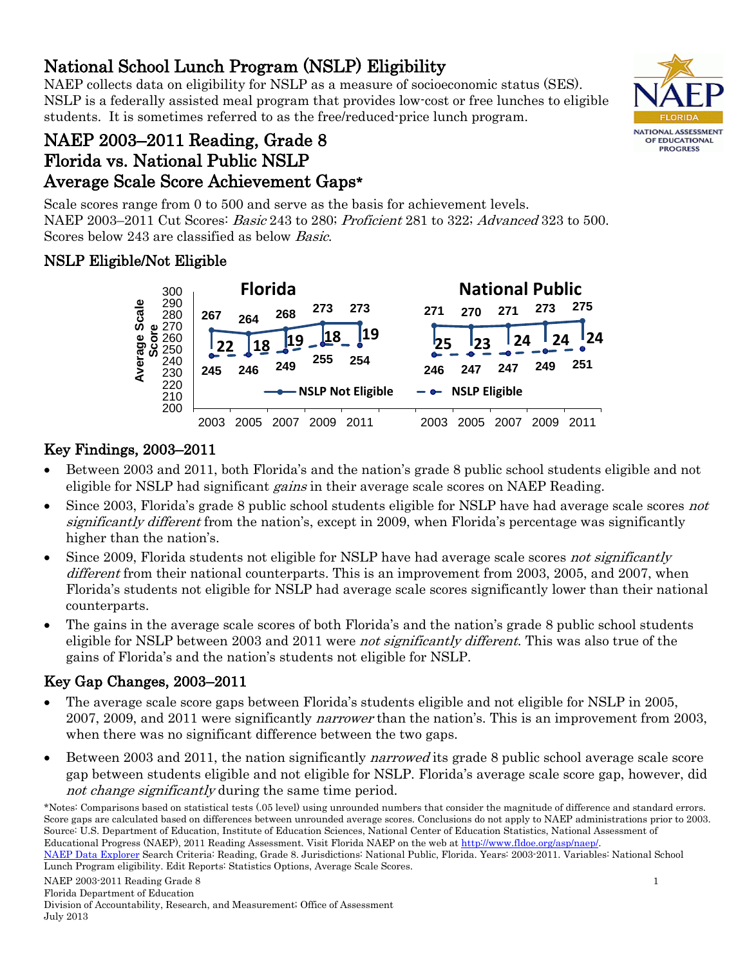National School Lunch Program (NSLP) Eligibility<br>NAEP collects data on eligibility for NSLP as a measure of socioeconomic status (SES). NSLP is a federally assisted meal program that provides low-cost or free lunches to eligible students. It is sometimes referred to as the free/reduced-price lunch program.



# NAEP 2003–2011 Reading, Grade 8 Florida vs. National Public NSLP Average Scale Score Achievement Gaps\*

Scale scores range from 0 to 500 and serve as the basis for achievement levels. NAEP 2003–2011 Cut Scores: Basic 243 to 280; Proficient 281 to 322; Advanced 323 to 500. Scores below 243 are classified as below Basic.

## NSLP Eligible/Not Eligible



# Key Findings, 2003–2011

- Between 2003 and 2011, both Florida's and the nation's grade 8 public school students eligible and not eligible for NSLP had significant *gains* in their average scale scores on NAEP Reading.
- Since 2003, Florida's grade 8 public school students eligible for NSLP have had average scale scores not significantly different from the nation's, except in 2009, when Florida's percentage was significantly higher than the nation's.
- Since 2009, Florida students not eligible for NSLP have had average scale scores not significantly different from their national counterparts. This is an improvement from 2003, 2005, and 2007, when Florida's students not eligible for NSLP had average scale scores significantly lower than their national counterparts.
- The gains in the average scale scores of both Florida's and the nation's grade 8 public school students eligible for NSLP between 2003 and 2011 were *not significantly different*. This was also true of the gains of Florida's and the nation's students not eligible for NSLP.

# Key Gap Changes, 2003–2011

- The average scale score gaps between Florida's students eligible and not eligible for NSLP in 2005, 2007, 2009, and 2011 were significantly *narrower* than the nation's. This is an improvement from 2003, when there was no significant difference between the two gaps.
- Between 2003 and 2011, the nation significantly *narrowed* its grade 8 public school average scale score gap between students eligible and not eligible for NSLP. Florida's average scale score gap, however, did not change significantly during the same time period.

<sup>\*</sup>Notes: Comparisons based on statistical tests (.05 level) using unrounded numbers that consider the magnitude of difference and standard errors. Score gaps are calculated based on differences between unrounded average scores. Conclusions do not apply to NAEP administrations prior to 2003. Source: U.S. Department of Education, Institute of Education Sciences, National Center of Education Statistics, National Assessment of Educational Progress (NAEP), 2011 Reading Assessment. Visit Florida NAEP on the web at [http://www.fldoe.org/asp/naep/.](http://www.fldoe.org/asp/naep/) 

[NAEP Data Explorer](http://nces.ed.gov/nationsreportcard/naepdata/) Search Criteria: Reading, Grade 8. Jurisdictions: National Public, Florida. Years: 2003-2011. Variables: National School Lunch Program eligibility. Edit Reports: Statistics Options, Average Scale Scores.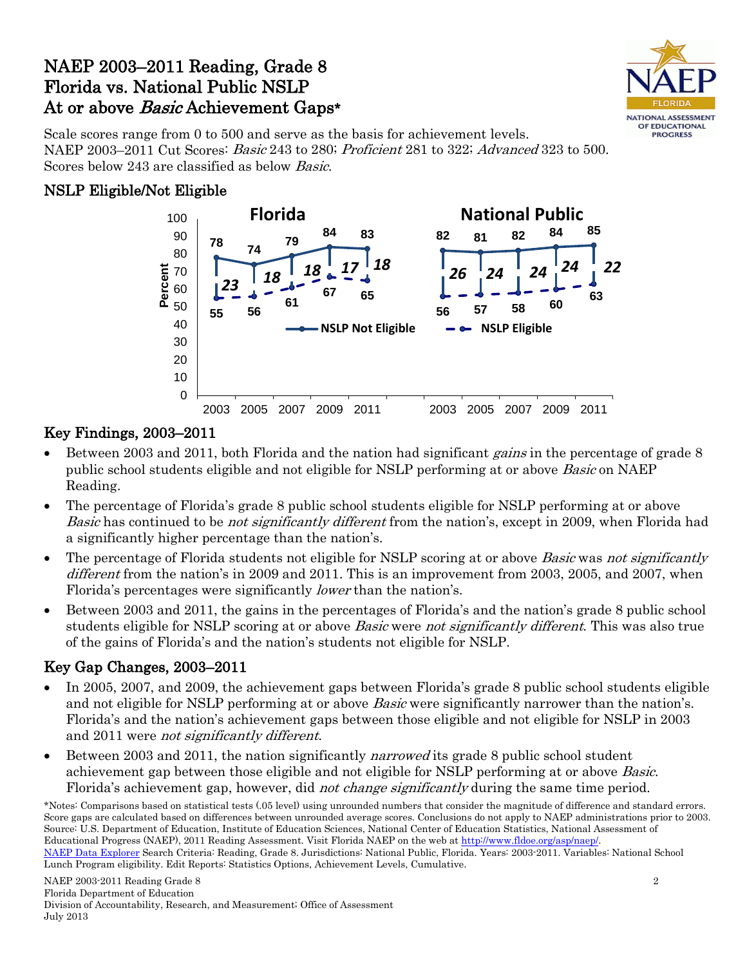# NAEP 2003–2011 Reading, Grade 8 Florida vs. National Public NSLP At or above *Basic* Achievement Gaps\*



Scale scores range from 0 to 500 and serve as the basis for achievement levels. NAEP 2003–2011 Cut Scores: Basic 243 to 280; Proficient 281 to 322; Advanced 323 to 500. Scores below 243 are classified as below Basic.

### NSLP Eligible/Not Eligible



### Key Findings, 2003–2011

- Between 2003 and 2011, both Florida and the nation had significant *gains* in the percentage of grade 8 public school students eligible and not eligible for NSLP performing at or above *Basic* on NAEP Reading.
- The percentage of Florida's grade 8 public school students eligible for NSLP performing at or above Basic has continued to be *not significantly different* from the nation's, except in 2009, when Florida had a significantly higher percentage than the nation's.
- The percentage of Florida students not eligible for NSLP scoring at or above *Basic* was not significantly different from the nation's in 2009 and 2011. This is an improvement from 2003, 2005, and 2007, when Florida's percentages were significantly *lower* than the nation's.
- Between 2003 and 2011, the gains in the percentages of Florida's and the nation's grade 8 public school students eligible for NSLP scoring at or above *Basic* were *not significantly different*. This was also true of the gains of Florida's and the nation's students not eligible for NSLP.

### Key Gap Changes, 2003–2011

- In 2005, 2007, and 2009, the achievement gaps between Florida's grade 8 public school students eligible and not eligible for NSLP performing at or above Basic were significantly narrower than the nation's. Florida's and the nation's achievement gaps between those eligible and not eligible for NSLP in 2003 and 2011 were not significantly different.
- Between 2003 and 2011, the nation significantly *narrowed* its grade 8 public school student achievement gap between those eligible and not eligible for NSLP performing at or above Basic. Florida's achievement gap, however, did *not change significantly* during the same time period.

<sup>\*</sup>Notes: Comparisons based on statistical tests (.05 level) using unrounded numbers that consider the magnitude of difference and standard errors. Score gaps are calculated based on differences between unrounded average scores. Conclusions do not apply to NAEP administrations prior to 2003. Source: U.S. Department of Education, Institute of Education Sciences, National Center of Education Statistics, National Assessment of Educational Progress (NAEP), 2011 Reading Assessment. Visit Florida NAEP on the web at [http://www.fldoe.org/asp/naep/.](http://www.fldoe.org/asp/naep/)  [NAEP Data Explorer](http://nces.ed.gov/nationsreportcard/naepdata/) Search Criteria: Reading, Grade 8. Jurisdictions: National Public, Florida. Years: 2003-2011. Variables: National School Lunch Program eligibility. Edit Reports: Statistics Options, Achievement Levels, Cumulative.